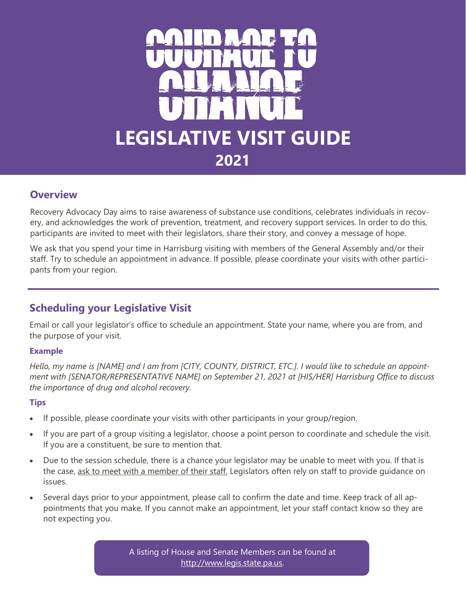

# **Overview**

Recovery Advocacy Day aims to raise awareness of substance use conditions, celebrates individuals in recovery, and acknowledges the work of prevention, treatment, and recovery support services. In order to do this, participants are invited to meet with their legislators, share their story, and convey a message of hope.

We ask that you spend your time in Harrisburg visiting with members of the General Assembly and/or their staff. Try to schedule an appointment in advance. If possible, please coordinate your visits with other participants from your region.

# **Scheduling your Legislative Visit**

Email or call your legislator's office to schedule an appointment. State your name, where you are from, and the purpose of your visit.

## **Example**

*Hello, my name is [NAME] and I am from [CITY, COUNTY, DISTRICT, ETC.]. I would like to schedule an appointment with [SENATOR/REPRESENTATIVE NAME] on September 21, 2021 at [HIS/HER] Harrisburg Office to discuss the importance of drug and alcohol recovery.* 

## **Tips**

- If possible, please coordinate your visits with other participants in your group/region.
- If you are part of a group visiting a legislator, choose a point person to coordinate and schedule the visit. If you are a constituent, be sure to mention that.
- Due to the session schedule, there is a chance your legislator may be unable to meet with you. If that is the case, ask to meet with a member of their staff. Legislators often rely on staff to provide guidance on issues.
- Several days prior to your appointment, please call to confirm the date and time. Keep track of all appointments that you make. If you cannot make an appointment, let your staff contact know so they are not expecting you.

A listing of House and Senate Members can be found at [http://www.legis.state.pa.us.](http://www.legis.state.pa.us/cfdocs/legis/home/findyourlegislator/)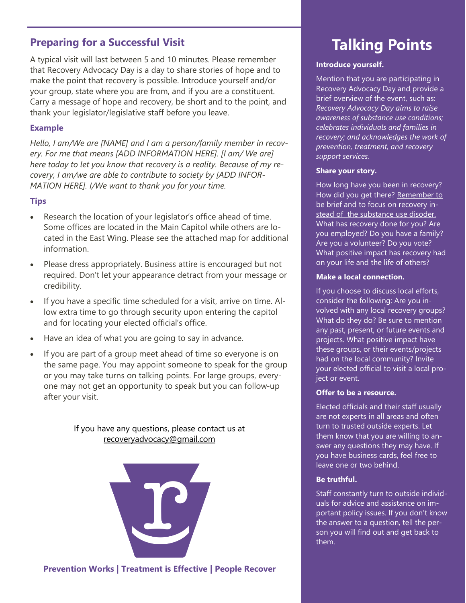# **Preparing for a Successful Visit**

A typical visit will last between 5 and 10 minutes. Please remember that Recovery Advocacy Day is a day to share stories of hope and to make the point that recovery is possible. Introduce yourself and/or your group, state where you are from, and if you are a constituent. Carry a message of hope and recovery, be short and to the point, and thank your legislator/legislative staff before you leave.

### **Example**

*Hello, I am/We are [NAME] and I am a person/family member in recovery. For me that means [ADD INFORMATION HERE]. [I am/ We are] here today to let you know that recovery is a reality. Because of my recovery, I am/we are able to contribute to society by [ADD INFOR-MATION HERE]. I/We want to thank you for your time.* 

## **Tips**

- Research the location of your legislator's office ahead of time. Some offices are located in the Main Capitol while others are located in the East Wing. Please see the attached map for additional information.
- Please dress appropriately. Business attire is encouraged but not required. Don't let your appearance detract from your message or credibility.
- If you have a specific time scheduled for a visit, arrive on time. Allow extra time to go through security upon entering the capitol and for locating your elected official's office.
- Have an idea of what you are going to say in advance.
- If you are part of a group meet ahead of time so everyone is on the same page. You may appoint someone to speak for the group or you may take turns on talking points. For large groups, everyone may not get an opportunity to speak but you can follow-up after your visit.

If you have any questions, please contact us at [recoveryadvocacy@gmail.com](mailto:recoveryadvocacy@gmail.com)



# **Talking Points**

### **Introduce yourself.**

Mention that you are participating in Recovery Advocacy Day and provide a brief overview of the event, such as: *Recovery Advocacy Day aims to raise awareness of substance use conditions; celebrates individuals and families in recovery; and acknowledges the work of prevention, treatment, and recovery support services.*

### **Share your story.**

How long have you been in recovery? How did you get there? Remember to be brief and to focus on recovery instead of the substance use disoder. What has recovery done for you? Are you employed? Do you have a family? Are you a volunteer? Do you vote? What positive impact has recovery had on your life and the life of others?

### **Make a local connection.**

If you choose to discuss local efforts, consider the following: Are you involved with any local recovery groups? What do they do? Be sure to mention any past, present, or future events and projects. What positive impact have these groups, or their events/projects had on the local community? Invite your elected official to visit a local project or event.

### **Offer to be a resource.**

Elected officials and their staff usually are not experts in all areas and often turn to trusted outside experts. Let them know that you are willing to answer any questions they may have. If you have business cards, feel free to leave one or two behind.

### **Be truthful.**

Staff constantly turn to outside individuals for advice and assistance on important policy issues. If you don't know the answer to a question, tell the person you will find out and get back to them.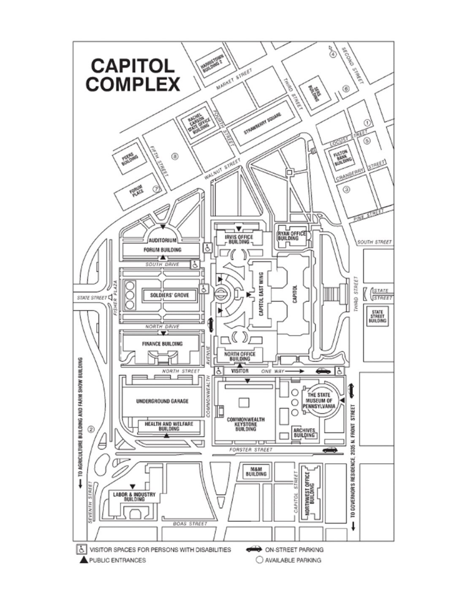